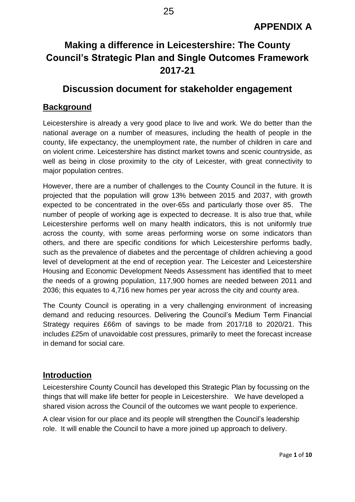# **Making a difference in Leicestershire: The County Council's Strategic Plan and Single Outcomes Framework 2017-21**

# **Discussion document for stakeholder engagement**

# **Background**

Leicestershire is already a very good place to live and work. We do better than the national average on a number of measures, including the health of people in the county, life expectancy, the unemployment rate, the number of children in care and on violent crime. Leicestershire has distinct market towns and scenic countryside, as well as being in close proximity to the city of Leicester, with great connectivity to major population centres.

However, there are a number of challenges to the County Council in the future. It is projected that the population will grow 13% between 2015 and 2037, with growth expected to be concentrated in the over-65s and particularly those over 85. The number of people of working age is expected to decrease. It is also true that, while Leicestershire performs well on many health indicators, this is not uniformly true across the county, with some areas performing worse on some indicators than others, and there are specific conditions for which Leicestershire performs badly, such as the prevalence of diabetes and the percentage of children achieving a good level of development at the end of reception year. The Leicester and Leicestershire Housing and Economic Development Needs Assessment has identified that to meet the needs of a growing population, 117,900 homes are needed between 2011 and 2036; this equates to 4,716 new homes per year across the city and county area.

The County Council is operating in a very challenging environment of increasing demand and reducing resources. Delivering the Council's Medium Term Financial Strategy requires £66m of savings to be made from 2017/18 to 2020/21. This includes £25m of unavoidable cost pressures, primarily to meet the forecast increase in demand for social care.

# **Introduction**

Leicestershire County Council has developed this Strategic Plan by focussing on the things that will make life better for people in Leicestershire. We have developed a shared vision across the Council of the outcomes we want people to experience.

A clear vision for our place and its people will strengthen the Council's leadership role. It will enable the Council to have a more joined up approach to delivery.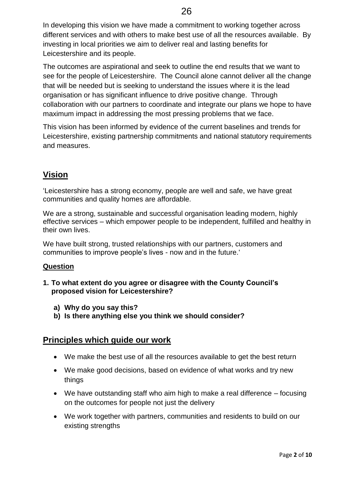In developing this vision we have made a commitment to working together across different services and with others to make best use of all the resources available. By investing in local priorities we aim to deliver real and lasting benefits for Leicestershire and its people.

The outcomes are aspirational and seek to outline the end results that we want to see for the people of Leicestershire. The Council alone cannot deliver all the change that will be needed but is seeking to understand the issues where it is the lead organisation or has significant influence to drive positive change. Through collaboration with our partners to coordinate and integrate our plans we hope to have maximum impact in addressing the most pressing problems that we face.

This vision has been informed by evidence of the current baselines and trends for Leicestershire, existing partnership commitments and national statutory requirements and measures.

# **Vision**

'Leicestershire has a strong economy, people are well and safe, we have great communities and quality homes are affordable.

We are a strong, sustainable and successful organisation leading modern, highly effective services – which empower people to be independent, fulfilled and healthy in their own lives.

We have built strong, trusted relationships with our partners, customers and communities to improve people's lives - now and in the future.'

### **Question**

- **1. To what extent do you agree or disagree with the County Council's proposed vision for Leicestershire?**
	- **a) Why do you say this?**
	- **b) Is there anything else you think we should consider?**

# **Principles which guide our work**

- We make the best use of all the resources available to get the best return
- We make good decisions, based on evidence of what works and try new things
- We have outstanding staff who aim high to make a real difference focusing on the outcomes for people not just the delivery
- We work together with partners, communities and residents to build on our existing strengths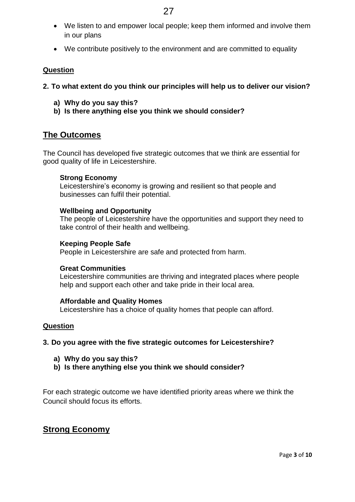- We listen to and empower local people; keep them informed and involve them in our plans
- We contribute positively to the environment and are committed to equality

### **Question**

- **2. To what extent do you think our principles will help us to deliver our vision?**
	- **a) Why do you say this?**
	- **b) Is there anything else you think we should consider?**

# **The Outcomes**

The Council has developed five strategic outcomes that we think are essential for good quality of life in Leicestershire.

### **Strong Economy**

Leicestershire's economy is growing and resilient so that people and businesses can fulfil their potential.

#### **Wellbeing and Opportunity**

The people of Leicestershire have the opportunities and support they need to take control of their health and wellbeing.

#### **Keeping People Safe**

People in Leicestershire are safe and protected from harm.

#### **Great Communities**

Leicestershire communities are thriving and integrated places where people help and support each other and take pride in their local area.

#### **Affordable and Quality Homes**

Leicestershire has a choice of quality homes that people can afford.

### **Question**

- **3. Do you agree with the five strategic outcomes for Leicestershire?**
	- **a) Why do you say this?**
	- **b) Is there anything else you think we should consider?**

For each strategic outcome we have identified priority areas where we think the Council should focus its efforts.

### **Strong Economy**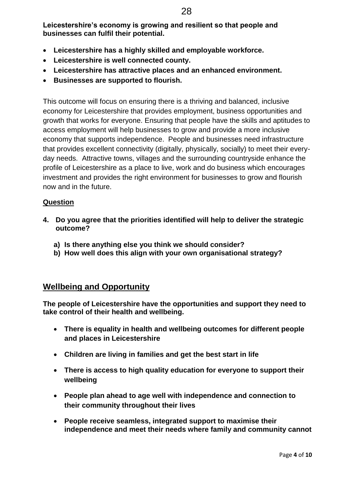**Leicestershire's economy is growing and resilient so that people and businesses can fulfil their potential.**

- **Leicestershire has a highly skilled and employable workforce.**
- **Leicestershire is well connected county.**
- **Leicestershire has attractive places and an enhanced environment.**
- **Businesses are supported to flourish.**

This outcome will focus on ensuring there is a thriving and balanced, inclusive economy for Leicestershire that provides employment, business opportunities and growth that works for everyone. Ensuring that people have the skills and aptitudes to access employment will help businesses to grow and provide a more inclusive economy that supports independence. People and businesses need infrastructure that provides excellent connectivity (digitally, physically, socially) to meet their everyday needs. Attractive towns, villages and the surrounding countryside enhance the profile of Leicestershire as a place to live, work and do business which encourages investment and provides the right environment for businesses to grow and flourish now and in the future.

### **Question**

- **4. Do you agree that the priorities identified will help to deliver the strategic outcome?**
	- **a) Is there anything else you think we should consider?**
	- **b) How well does this align with your own organisational strategy?**

# **Wellbeing and Opportunity**

**The people of Leicestershire have the opportunities and support they need to take control of their health and wellbeing.** 

- **There is equality in health and wellbeing outcomes for different people and places in Leicestershire**
- **Children are living in families and get the best start in life**
- **There is access to high quality education for everyone to support their wellbeing**
- **People plan ahead to age well with independence and connection to their community throughout their lives**
- **People receive seamless, integrated support to maximise their independence and meet their needs where family and community cannot**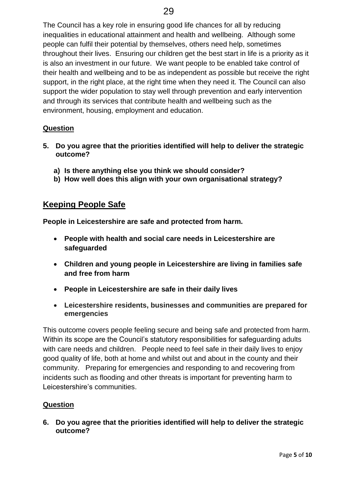The Council has a key role in ensuring good life chances for all by reducing inequalities in educational attainment and health and wellbeing. Although some people can fulfil their potential by themselves, others need help, sometimes throughout their lives. Ensuring our children get the best start in life is a priority as it is also an investment in our future. We want people to be enabled take control of their health and wellbeing and to be as independent as possible but receive the right support, in the right place, at the right time when they need it. The Council can also support the wider population to stay well through prevention and early intervention and through its services that contribute health and wellbeing such as the environment, housing, employment and education.

### **Question**

- **5. Do you agree that the priorities identified will help to deliver the strategic outcome?**
	- **a) Is there anything else you think we should consider?**
	- **b) How well does this align with your own organisational strategy?**

# **Keeping People Safe**

**People in Leicestershire are safe and protected from harm.** 

- **People with health and social care needs in Leicestershire are safeguarded**
- **Children and young people in Leicestershire are living in families safe and free from harm**
- **People in Leicestershire are safe in their daily lives**
- **Leicestershire residents, businesses and communities are prepared for emergencies**

This outcome covers people feeling secure and being safe and protected from harm. Within its scope are the Council's statutory responsibilities for safeguarding adults with care needs and children. People need to feel safe in their daily lives to enjoy good quality of life, both at home and whilst out and about in the county and their community. Preparing for emergencies and responding to and recovering from incidents such as flooding and other threats is important for preventing harm to Leicestershire's communities.

### **Question**

**6. Do you agree that the priorities identified will help to deliver the strategic outcome?**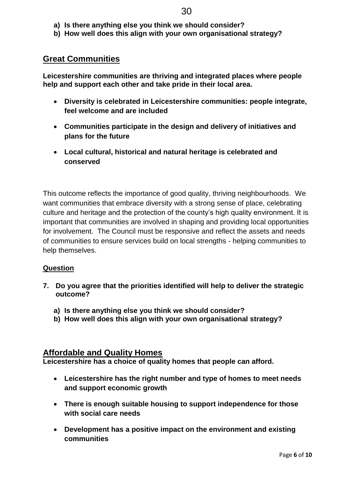- **a) Is there anything else you think we should consider?**
- **b) How well does this align with your own organisational strategy?**

# **Great Communities**

**Leicestershire communities are thriving and integrated places where people help and support each other and take pride in their local area.**

- **Diversity is celebrated in Leicestershire communities: people integrate, feel welcome and are included**
- **Communities participate in the design and delivery of initiatives and plans for the future**
- **Local cultural, historical and natural heritage is celebrated and conserved**

This outcome reflects the importance of good quality, thriving neighbourhoods. We want communities that embrace diversity with a strong sense of place, celebrating culture and heritage and the protection of the county's high quality environment. It is important that communities are involved in shaping and providing local opportunities for involvement. The Council must be responsive and reflect the assets and needs of communities to ensure services build on local strengths - helping communities to help themselves.

### **Question**

- **7. Do you agree that the priorities identified will help to deliver the strategic outcome?**
	- **a) Is there anything else you think we should consider?**
	- **b) How well does this align with your own organisational strategy?**

# **Affordable and Quality Homes**

**Leicestershire has a choice of quality homes that people can afford.**

- **Leicestershire has the right number and type of homes to meet needs and support economic growth**
- **There is enough suitable housing to support independence for those with social care needs**
- **Development has a positive impact on the environment and existing communities**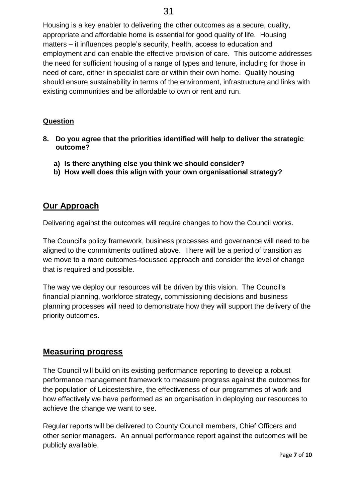Housing is a key enabler to delivering the other outcomes as a secure, quality, appropriate and affordable home is essential for good quality of life. Housing matters – it influences people's security, health, access to education and employment and can enable the effective provision of care. This outcome addresses the need for sufficient housing of a range of types and tenure, including for those in need of care, either in specialist care or within their own home. Quality housing should ensure sustainability in terms of the environment, infrastructure and links with existing communities and be affordable to own or rent and run.

### **Question**

- **8. Do you agree that the priorities identified will help to deliver the strategic outcome?**
	- **a) Is there anything else you think we should consider?**
	- **b) How well does this align with your own organisational strategy?**

# **Our Approach**

Delivering against the outcomes will require changes to how the Council works.

The Council's policy framework, business processes and governance will need to be aligned to the commitments outlined above. There will be a period of transition as we move to a more outcomes-focussed approach and consider the level of change that is required and possible.

The way we deploy our resources will be driven by this vision. The Council's financial planning, workforce strategy, commissioning decisions and business planning processes will need to demonstrate how they will support the delivery of the priority outcomes.

# **Measuring progress**

The Council will build on its existing performance reporting to develop a robust performance management framework to measure progress against the outcomes for the population of Leicestershire, the effectiveness of our programmes of work and how effectively we have performed as an organisation in deploying our resources to achieve the change we want to see.

Regular reports will be delivered to County Council members, Chief Officers and other senior managers. An annual performance report against the outcomes will be publicly available.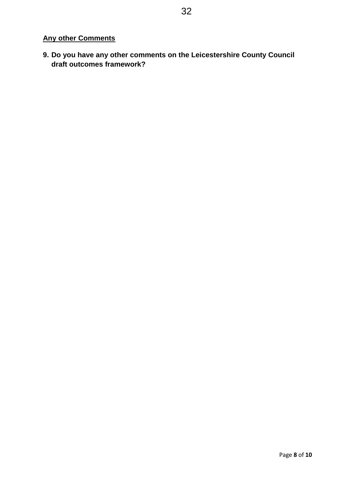# **Any other Comments**

**9. Do you have any other comments on the Leicestershire County Council draft outcomes framework?**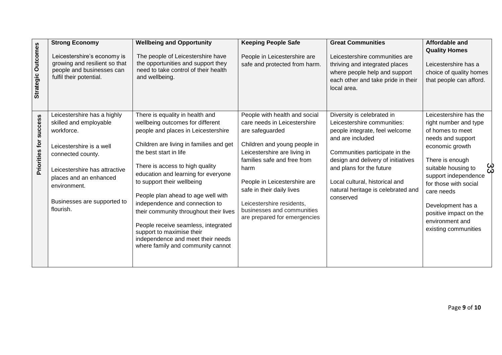| <b>Strategic Outcomes</b>        | <b>Strong Economy</b><br>Leicestershire's economy is<br>growing and resilient so that<br>people and businesses can<br>fulfil their potential.                                                                                               | <b>Wellbeing and Opportunity</b><br>The people of Leicestershire have<br>the opportunities and support they<br>need to take control of their health<br>and wellbeing.                                                                                                                                                                                                                                                                                                                                                                                   | <b>Keeping People Safe</b><br>People in Leicestershire are<br>safe and protected from harm.                                                                                                                                                                                                                                                     | <b>Great Communities</b><br>Leicestershire communities are<br>thriving and integrated places<br>where people help and support<br>each other and take pride in their<br>local area.                                                                                                                       | Affordable and<br><b>Quality Homes</b><br>Leicestershire has a<br>choice of quality homes<br>that people can afford.                                                                                                                                                                                           |
|----------------------------------|---------------------------------------------------------------------------------------------------------------------------------------------------------------------------------------------------------------------------------------------|---------------------------------------------------------------------------------------------------------------------------------------------------------------------------------------------------------------------------------------------------------------------------------------------------------------------------------------------------------------------------------------------------------------------------------------------------------------------------------------------------------------------------------------------------------|-------------------------------------------------------------------------------------------------------------------------------------------------------------------------------------------------------------------------------------------------------------------------------------------------------------------------------------------------|----------------------------------------------------------------------------------------------------------------------------------------------------------------------------------------------------------------------------------------------------------------------------------------------------------|----------------------------------------------------------------------------------------------------------------------------------------------------------------------------------------------------------------------------------------------------------------------------------------------------------------|
| <b>SUCCESS</b><br>Priorities for | Leicestershire has a highly<br>skilled and employable<br>workforce.<br>Leicestershire is a well<br>connected county.<br>Leicestershire has attractive<br>places and an enhanced<br>environment.<br>Businesses are supported to<br>flourish. | There is equality in health and<br>wellbeing outcomes for different<br>people and places in Leicestershire<br>Children are living in families and get<br>the best start in life<br>There is access to high quality<br>education and learning for everyone<br>to support their wellbeing<br>People plan ahead to age well with<br>independence and connection to<br>their community throughout their lives<br>People receive seamless, integrated<br>support to maximise their<br>independence and meet their needs<br>where family and community cannot | People with health and social<br>care needs in Leicestershire<br>are safeguarded<br>Children and young people in<br>Leicestershire are living in<br>families safe and free from<br>harm<br>People in Leicestershire are<br>safe in their daily lives<br>Leicestershire residents,<br>businesses and communities<br>are prepared for emergencies | Diversity is celebrated in<br>Leicestershire communities:<br>people integrate, feel welcome<br>and are included<br>Communities participate in the<br>design and delivery of initiatives<br>and plans for the future<br>Local cultural, historical and<br>natural heritage is celebrated and<br>conserved | Leicestershire has the<br>right number and type<br>of homes to meet<br>needs and support<br>economic growth<br>There is enough<br>suitable housing to<br>support independence<br>for those with social<br>care needs<br>Development has a<br>positive impact on the<br>environment and<br>existing communities |